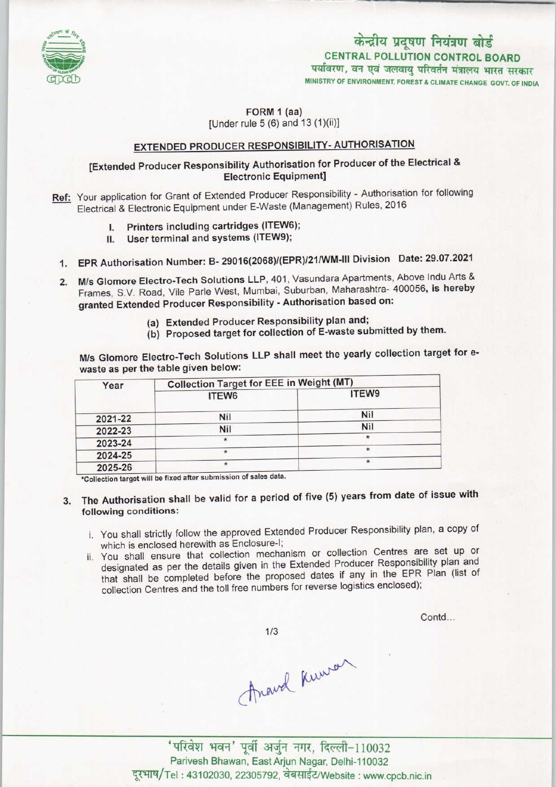

# पर्यावरण, वन एवं जलवायु परिवर्तन मंत्रालय भारत सरकार केन्द्रीय प्रदूषण नियंत्रण बोर्ड CENTRAL POLLUTION CONTROL BOARD

MINISTRY OF ENVIRONMENT, FOREST & CLIMATE CHANGE GOVT. OF INDIA

#### FORM 1 (aa)  $[Under rule 5 (6) and 13 (1)(ii)]$

## EXTENDED PRODUCER RESPONSIBILITY- AUTHORISATION

## [Extended Producer Responsibility Authorisation for Producer of the Electrical & Electronic Equipment]

- Ref: Your application for Grant of Extended Producer Responsibility Authorisation for following Electrical & Electronic Equipment under E-Waste (Management) Rules, 2016
	- I. Printers including cartridges (ITEW6);
	- II. User terminal and systems (ITEW9);
	- 1. EPR Authorisation Number: B- 29016(2068)/(EPR)/21/WM-III Division Date: 29.07.2021
	- 2. M/s Glomore Electro-Tech Solutions LLP, 401, Vasundara Apartments, Above Indu Arts & Frames, S.V. Road, Vile Parle West, Mumbai, Suburban, Maharashtra- 400056, is hereby granted Extended Producer Responsibility - Authorisation based on:
		- (a)Extended Producer Responsibility plan and;
		- (b) Proposed target for collection of E-waste submitted by them.

Mis Glomore Electro-Tech Solutions LLP shall meet the yearly collection target for ewaste as per the table given below:

| Year    | <b>Collection Target for EEE in Weight (MT)</b> |            |
|---------|-------------------------------------------------|------------|
|         | ITEW6                                           | ITEW9      |
| 2021-22 | Nil                                             | <b>Nil</b> |
| 2022-23 | Nil                                             | <b>Nil</b> |
| 2023-24 |                                                 | $\star$    |
| 2024-25 |                                                 |            |
| 2025-26 |                                                 | ×          |

\*Collection target will be fixed after submission of sales data.

- 3. The Authorisation shall be valid for a period of five (5) years from date of issue with following conditions:
	- i. You shall strictly follow the approved Extended Producer Responsibility plan, a copy of which is enclosed herewith as Enclosure-I;
	- ii. You shall ensure that collection mechanism or collection Centres are set up or designated as per the details given in the Extended Producer Responsibility plan and that shall be completed before the proposed dates if any in the EPR Plan (list of collection Centres and the toll free numbers for reverse logistics enclosed);

Contd...

 $1/3$ 

Anand Kunson

'परिवेश भवन' पूर्वी अर्जुन नगर, दिल्ली-110032 Parivesh Bhawan, East Arjun Nagar, Delhi-110032 दूरभाष/Tel: 43102030, 22305792, वेबसाईट/Website : www.cpcb.nic.in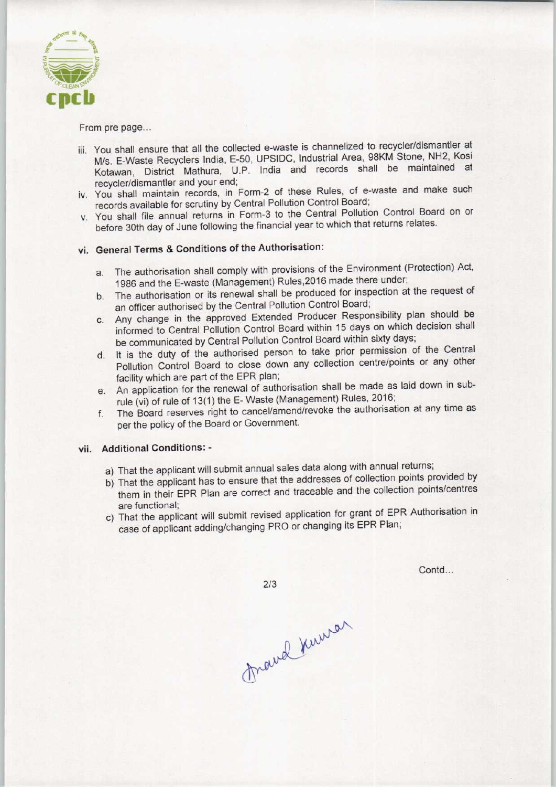

From pre page...

- iii. You shall ensure that all the collected e-waste is channelized to recycler/dismantler at M/s. E-Waste Recyclers India, E-50, UPSIDC, Industrial Area, 98KM Stone, NH2, Kosi Kotawan, District Mathura, U.P. India and records shall be maintained at recycler/dismantler and your end;
- iv. You shall maintain records, in Form-2 of these Rules, of e-waste and make such records available for scrutiny by Central Pollution Control Board;
- v. You shall file annual returns in Form-3 to the Central Pollution Control Board on or before 30th day of June following the financial year to which that returns relates.

## vi. General Terms & Conditions of the Authorisation:

- a. The authorisation shall comply with provisions of the Environment (Protection) Act, 1986 and the E-waste (Management) Rules, 2016 made there under;
- b.The authorisation or its renewal shall be produced for inspection at the request of an officer authorised by the Central Pollution Control Board;
- c.Any change in the approved Extended Producer Responsibility plan should be informed to Central Pollution Control Board within 15 days on which decision shall be communicated by Central Pollution Control Board within sixty days;
- d. It is the duty of the authorised person to take prior permission of the Central Pollution Control Board to close down any collection centre/points or any other facility which are part of the EPR plan;
- e. An application for the renewal of authorisation shall be made as laid down in subrule (vi) of rule of 13(1) the E- Waste (Management) Rules, 2016;
- f.The Board reserves right to cancel/amend/revoke the authorisation at any time as per the policy of the Board or Government.

#### vii. Additional Conditions: -

a) That the applicant will submit annual sales data along with annual returns;

 $2/3$ 

- b) That the applicant has to ensure that the addresses of collection points provided by them in their EPR Plan are correct and traceable and the collection points/centres are functional;
- c) That the applicant will submit revised application for grant of EPR Authorisation in case of applicant adding/changing PRO or changing its EPR Plan;

Contd...

Frand Kuman